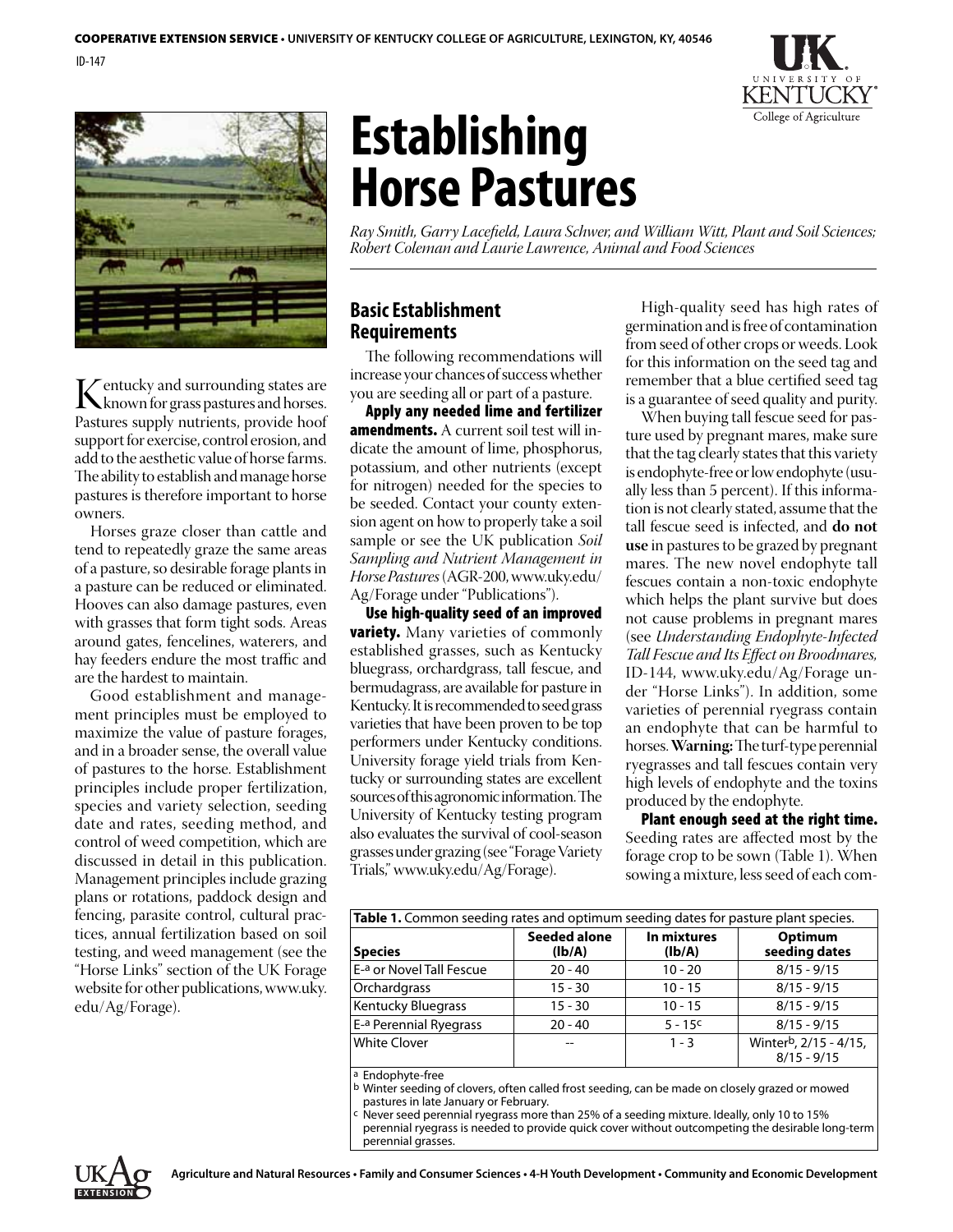



Kentucky and surrounding states are<br>Pastures supply putrients, provide boof Pastures supply nutrients, provide hoof support for exercise, control erosion, and add to the aesthetic value of horse farms. The ability to establish and manage horse pastures is therefore important to horse owners.

Horses graze closer than cattle and tend to repeatedly graze the same areas of a pasture, so desirable forage plants in a pasture can be reduced or eliminated. Hooves can also damage pastures, even with grasses that form tight sods. Areas around gates, fencelines, waterers, and hay feeders endure the most traffic and are the hardest to maintain.

Good establishment and management principles must be employed to maximize the value of pasture forages, and in a broader sense, the overall value of pastures to the horse. Establishment principles include proper fertilization, species and variety selection, seeding date and rates, seeding method, and control of weed competition, which are discussed in detail in this publication. Management principles include grazing plans or rotations, paddock design and fencing, parasite control, cultural practices, annual fertilization based on soil testing, and weed management (see the "Horse Links" section of the UK Forage website for other publications, www.uky. edu/Ag/Forage).

# **Establishing Horse Pastures**

*Ray Smith, Garry Lacefield, Laura Schwer, and William Witt, Plant and Soil Sciences; Robert Coleman and Laurie Lawrence, Animal and Food Sciences*

## **Basic Establishment Requirements**

The following recommendations will increase your chances of success whether you are seeding all or part of a pasture.

Apply any needed lime and fertilizer **amendments.** A current soil test will indicate the amount of lime, phosphorus, potassium, and other nutrients (except for nitrogen) needed for the species to be seeded. Contact your county extension agent on how to properly take a soil sample or see the UK publication *Soil Sampling and Nutrient Management in Horse Pastures* (AGR-200, www.uky.edu/ Ag/Forage under "Publications").

Use high-quality seed of an improved **variety.** Many varieties of commonly established grasses, such as Kentucky bluegrass, orchardgrass, tall fescue, and bermudagrass, are available for pasture in Kentucky. It is recommended to seed grass varieties that have been proven to be top performers under Kentucky conditions. University forage yield trials from Kentucky or surrounding states are excellent sources of this agronomic information. The University of Kentucky testing program also evaluates the survival of cool-season grasses under grazing (see "Forage Variety Trials,"www.uky.edu/Ag/Forage).

High-quality seed has high rates of germination and is free of contamination from seed of other crops or weeds. Look for this information on the seed tag and remember that a blue certified seed tag is a guarantee of seed quality and purity.

When buying tall fescue seed for pasture used by pregnant mares, make sure that the tag clearly states that this variety is endophyte-free or low endophyte (usually less than 5 percent). If this information is not clearly stated, assume that the tall fescue seed is infected, and **do not use** in pastures to be grazed by pregnant mares. The new novel endophyte tall fescues contain a non-toxic endophyte which helps the plant survive but does not cause problems in pregnant mares (see *Understanding Endophyte-Infected Tall Fescue and Its Effect on Broodmares,* ID-144, www.uky.edu/Ag/Forage under "Horse Links"). In addition, some varieties of perennial ryegrass contain an endophyte that can be harmful to horses. **Warning:** The turf-type perennial ryegrasses and tall fescues contain very high levels of endophyte and the toxins produced by the endophyte.

#### Plant enough seed at the right time. Seeding rates are affected most by the forage crop to be sown (Table 1). When sowing a mixture, less seed of each com-

| Table 1. Common seeding rates and optimum seeding dates for pasture plant species. |                               |                       |                                        |
|------------------------------------------------------------------------------------|-------------------------------|-----------------------|----------------------------------------|
| <b>Species</b>                                                                     | <b>Seeded alone</b><br>(Ib/A) | In mixtures<br>(Ib/A) | Optimum<br>seeding dates               |
| E-a or Novel Tall Fescue                                                           | $20 - 40$                     | $10 - 20$             | $8/15 - 9/15$                          |
| Orchardgrass                                                                       | $15 - 30$                     | $10 - 15$             | $8/15 - 9/15$                          |
| <b>Kentucky Bluegrass</b>                                                          | $15 - 30$                     | $10 - 15$             | $8/15 - 9/15$                          |
| E-a Perennial Ryegrass                                                             | $20 - 40$                     | $5 - 15c$             | $8/15 - 9/15$                          |
| <b>White Clover</b>                                                                |                               | $1 - 3$               | Winterb, 2/15 - 4/15,<br>$8/15 - 9/15$ |

a Endophyte-free

perennial grasses.

b Winter seeding of clovers, often called frost seeding, can be made on closely grazed or mowed pastures in late January or February.

Never seed perennial ryegrass more than 25% of a seeding mixture. Ideally, only 10 to 15% perennial ryegrass is needed to provide quick cover without outcompeting the desirable long-term

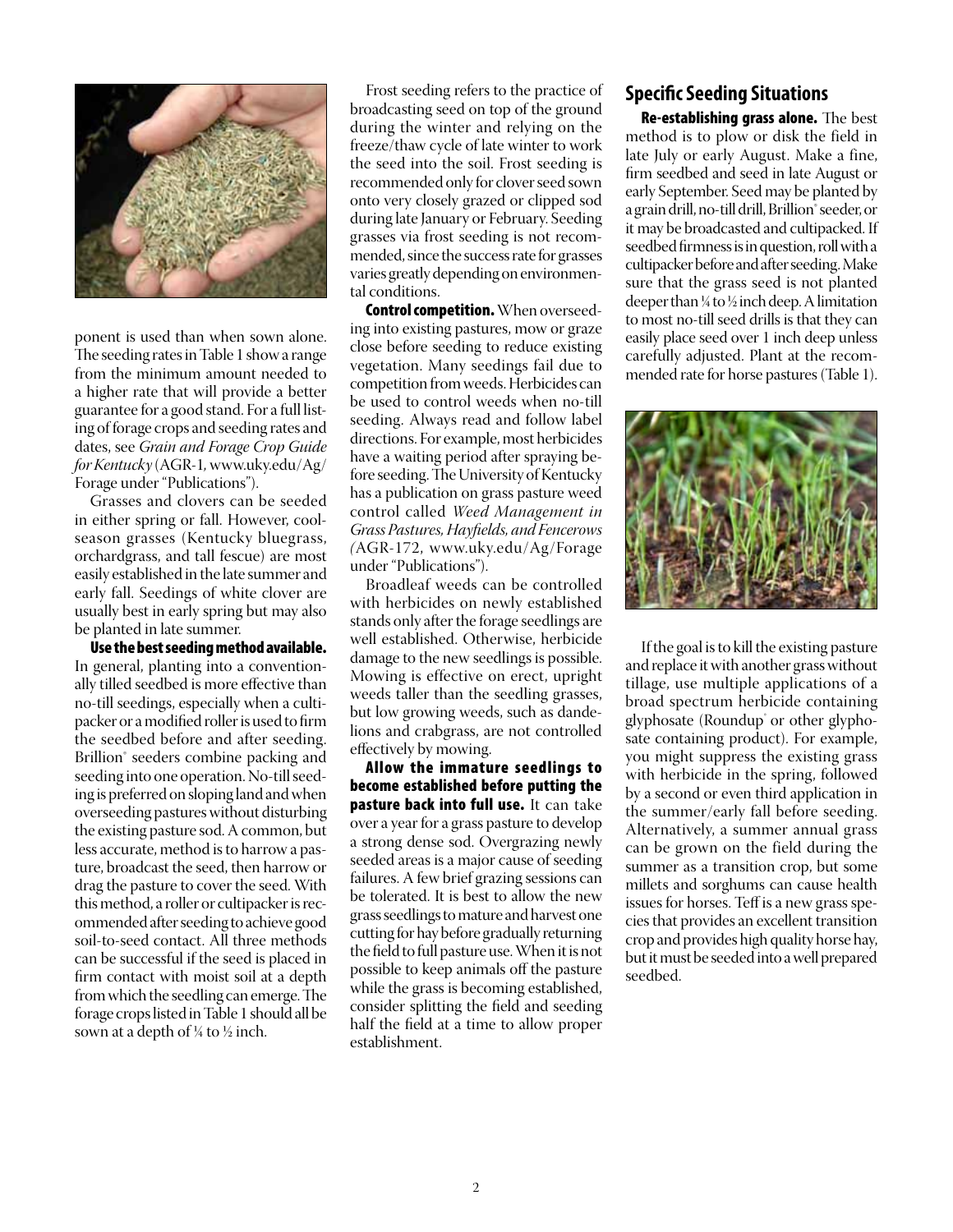

ponent is used than when sown alone. The seeding rates in Table 1 show a range from the minimum amount needed to a higher rate that will provide a better guarantee for a good stand. For a full listing of forage crops and seeding rates and dates, see *Grain and Forage Crop Guide for Kentucky* (AGR-1*,* www.uky.edu/Ag/ Forage under "Publications").

Grasses and clovers can be seeded in either spring or fall. However, coolseason grasses (Kentucky bluegrass, orchardgrass, and tall fescue) are most easily established in the late summer and early fall. Seedings of white clover are usually best in early spring but may also be planted in late summer.

Use the best seeding method available. In general, planting into a conventionally tilled seedbed is more effective than no-till seedings, especially when a cultipacker or a modified roller is used to firm the seedbed before and after seeding. Brillion<sup>®</sup> seeders combine packing and seeding into one operation. No-till seeding is preferred on sloping land and when overseeding pastures without disturbing the existing pasture sod. A common, but less accurate, method is to harrow a pasture, broadcast the seed, then harrow or drag the pasture to cover the seed. With this method, a roller or cultipacker is recommended after seeding to achieve good soil-to-seed contact. All three methods can be successful if the seed is placed in firm contact with moist soil at a depth from which the seedling can emerge. The forage crops listed in Table 1 should all be sown at a depth of  $\frac{1}{4}$  to  $\frac{1}{2}$  inch.

Frost seeding refers to the practice of broadcasting seed on top of the ground during the winter and relying on the freeze/thaw cycle of late winter to work the seed into the soil. Frost seeding is recommended only for clover seed sown onto very closely grazed or clipped sod during late January or February. Seeding grasses via frost seeding is not recommended, since the success rate for grasses varies greatly depending on environmental conditions.

**Control competition.** When overseeding into existing pastures, mow or graze close before seeding to reduce existing vegetation. Many seedings fail due to competition from weeds. Herbicides can be used to control weeds when no-till seeding. Always read and follow label directions. For example, most herbicides have a waiting period after spraying before seeding. The University of Kentucky has a publication on grass pasture weed control called *Weed Management in Grass Pastures, Hayfields, and Fencerows (*AGR-172, www.uky.edu/Ag/Forage under "Publications").

Broadleaf weeds can be controlled with herbicides on newly established stands only after the forage seedlings are well established. Otherwise, herbicide damage to the new seedlings is possible. Mowing is effective on erect, upright weeds taller than the seedling grasses, but low growing weeds, such as dandelions and crabgrass, are not controlled effectively by mowing.

Allow the immature seedlings to become established before putting the pasture back into full use. It can take over a year for a grass pasture to develop a strong dense sod. Overgrazing newly seeded areas is a major cause of seeding failures. A few brief grazing sessions can be tolerated. It is best to allow the new grass seedlings to mature and harvest one cutting for hay before gradually returning the field to full pasture use. When it is not possible to keep animals off the pasture while the grass is becoming established, consider splitting the field and seeding half the field at a time to allow proper establishment.

## **Specific Seeding Situations**

Re-establishing grass alone. The best method is to plow or disk the field in late July or early August. Make a fine, firm seedbed and seed in late August or early September. Seed may be planted by a grain drill, no-till drill, Brillion® seeder, or it may be broadcasted and cultipacked. If seedbed firmness is in question, roll with a cultipacker before and after seeding. Make sure that the grass seed is not planted deeper than ¼ to ½ inch deep. A limitation to most no-till seed drills is that they can easily place seed over 1 inch deep unless carefully adjusted. Plant at the recommended rate for horse pastures (Table 1).



If the goal is to kill the existing pasture and replace it with another grass without tillage, use multiple applications of a broad spectrum herbicide containing glyphosate (Roundup<sup>\*</sup> or other glyphosate containing product). For example, you might suppress the existing grass with herbicide in the spring, followed by a second or even third application in the summer/early fall before seeding. Alternatively, a summer annual grass can be grown on the field during the summer as a transition crop, but some millets and sorghums can cause health issues for horses. Teff is a new grass species that provides an excellent transition crop and provides high quality horse hay, but it must be seeded into a well prepared seedbed.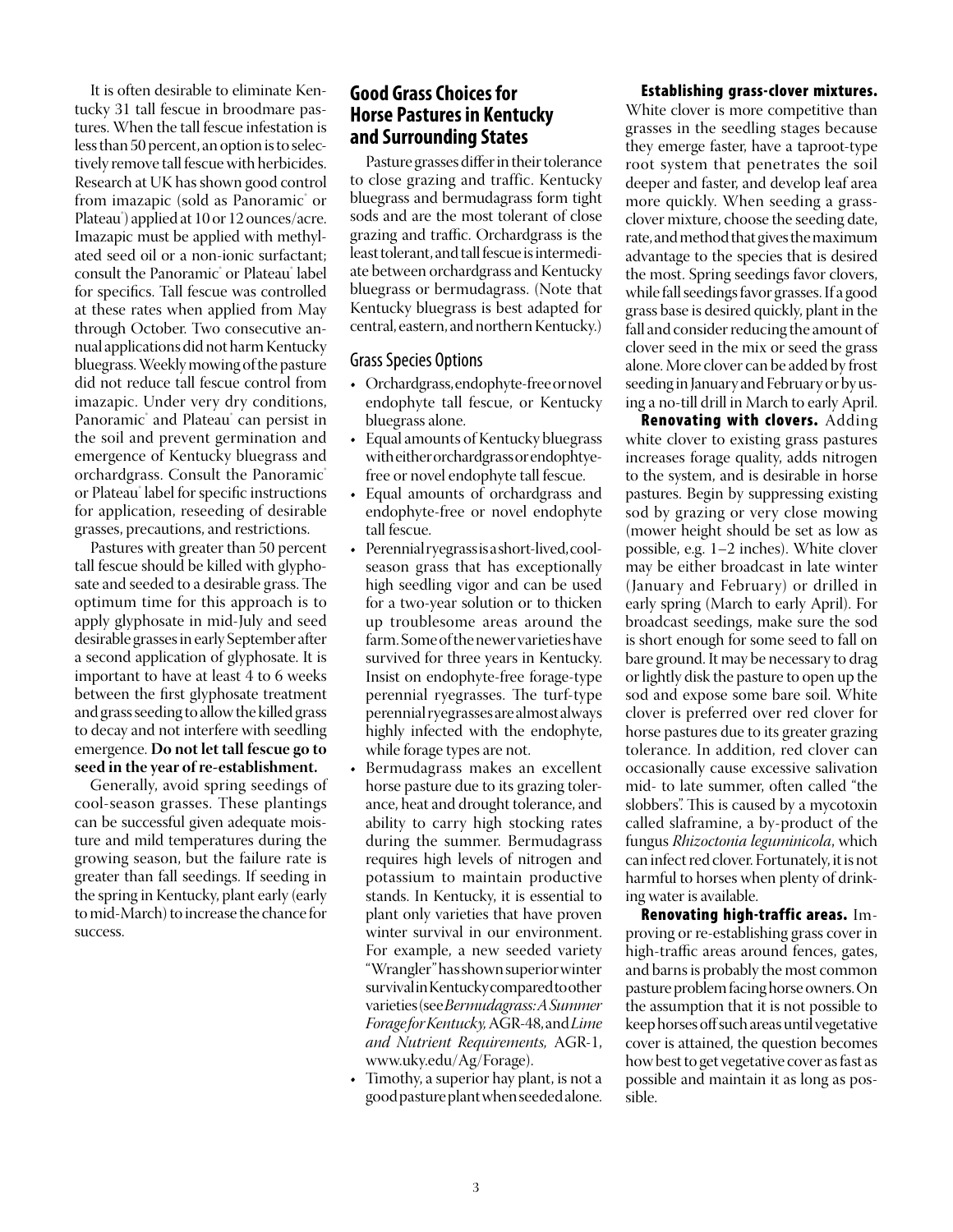It is often desirable to eliminate Kentucky 31 tall fescue in broodmare pastures. When the tall fescue infestation is less than 50 percent, an option is to selectively remove tall fescue with herbicides. Research at UK has shown good control from imazapic (sold as Panoramic˚ or Plateau® ) applied at 10 or 12 ounces/acre. Imazapic must be applied with methylated seed oil or a non-ionic surfactant; consult the Panoramic® or Plateau® label for specifics. Tall fescue was controlled at these rates when applied from May through October. Two consecutive annual applications did not harm Kentucky bluegrass. Weekly mowing of the pasture did not reduce tall fescue control from imazapic. Under very dry conditions, Panoramic<sup>®</sup> and Plateau<sup>®</sup> can persist in the soil and prevent germination and emergence of Kentucky bluegrass and orchardgrass. Consult the Panoramic® or Plateau® label for specific instructions for application, reseeding of desirable grasses, precautions, and restrictions.

Pastures with greater than 50 percent tall fescue should be killed with glyphosate and seeded to a desirable grass. The optimum time for this approach is to apply glyphosate in mid-July and seed desirable grasses in early September after a second application of glyphosate. It is important to have at least 4 to 6 weeks between the first glyphosate treatment and grass seeding to allow the killed grass to decay and not interfere with seedling emergence. **Do not let tall fescue go to seed in the year of re-establishment.**

Generally, avoid spring seedings of cool-season grasses. These plantings can be successful given adequate moisture and mild temperatures during the growing season, but the failure rate is greater than fall seedings. If seeding in the spring in Kentucky, plant early (early to mid-March) to increase the chance for success.

### **Good Grass Choices for Horse Pastures in Kentucky and Surrounding States**

Pasture grasses differ in their tolerance to close grazing and traffic. Kentucky bluegrass and bermudagrass form tight sods and are the most tolerant of close grazing and traffic. Orchardgrass is the least tolerant, and tall fescue is intermediate between orchardgrass and Kentucky bluegrass or bermudagrass. (Note that Kentucky bluegrass is best adapted for central, eastern, and northern Kentucky.)

#### Grass Species Options

- • Orchardgrass,endophyte-freeornovel endophyte tall fescue, or Kentucky bluegrass alone.
- Equal amounts of Kentucky bluegrass with either orchardgrass or endophtyefree or novel endophyte tall fescue.
- Equal amounts of orchardgrass and endophyte-free or novel endophyte tall fescue.
- Perennial ryegrass is a short-lived, coolseason grass that has exceptionally high seedling vigor and can be used for a two-year solution or to thicken up troublesome areas around the farm. Some of the newer varieties have survived for three years in Kentucky. Insist on endophyte-free forage-type perennial ryegrasses. The turf-type perennial ryegrasses are almost always highly infected with the endophyte, while forage types are not.
- Bermudagrass makes an excellent horse pasture due to its grazing tolerance, heat and drought tolerance, and ability to carry high stocking rates during the summer. Bermudagrass requires high levels of nitrogen and potassium to maintain productive stands. In Kentucky, it is essential to plant only varieties that have proven winter survival in our environment. For example, a new seeded variety "Wrangler" has shown superior winter survival in Kentucky compared to other varieties (see *Bermudagrass: A Summer Forage for Kentucky,* AGR-48,and *Lime and Nutrient Requirements,* AGR-1, www.uky.edu/Ag/Forage).
- Timothy, a superior hay plant, is not a good pasture plant when seeded alone.

#### Establishing grass-clover mixtures.

White clover is more competitive than grasses in the seedling stages because they emerge faster, have a taproot-type root system that penetrates the soil deeper and faster, and develop leaf area more quickly. When seeding a grassclover mixture, choose the seeding date, rate, and method that gives the maximum advantage to the species that is desired the most. Spring seedings favor clovers, while fall seedings favor grasses. If a good grass base is desired quickly, plant in the fall and consider reducing the amount of clover seed in the mix or seed the grass alone. More clover can be added by frost seeding in January and February or by using a no-till drill in March to early April.

Renovating with clovers. Adding white clover to existing grass pastures increases forage quality, adds nitrogen to the system, and is desirable in horse pastures. Begin by suppressing existing sod by grazing or very close mowing (mower height should be set as low as possible, e.g. 1–2 inches). White clover may be either broadcast in late winter (January and February) or drilled in early spring (March to early April). For broadcast seedings, make sure the sod is short enough for some seed to fall on bare ground. It may be necessary to drag or lightly disk the pasture to open up the sod and expose some bare soil. White clover is preferred over red clover for horse pastures due to its greater grazing tolerance. In addition, red clover can occasionally cause excessive salivation mid- to late summer, often called "the slobbers". This is caused by a mycotoxin called slaframine, a by-product of the fungus *Rhizoctonia leguminicola*, which can infect red clover. Fortunately, it is not harmful to horses when plenty of drinking water is available.

Renovating high-traffic areas. Improving or re-establishing grass cover in high-traffic areas around fences, gates, and barns is probably the most common pasture problem facing horse owners. On the assumption that it is not possible to keep horses off such areas until vegetative cover is attained, the question becomes how best to get vegetative cover as fast as possible and maintain it as long as possible.